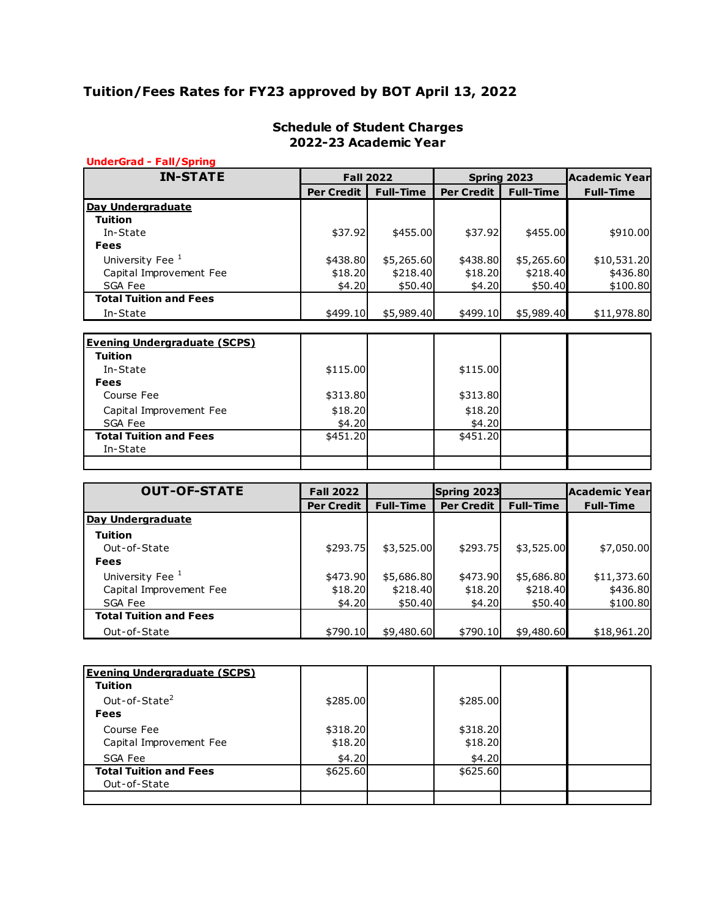# **Tuition/Fees Rates for FY23 approved by BOT April 13, 2022**

| <b>UnderGrad - Fall/Spring</b><br><b>IN-STATE</b> |                   | <b>Fall 2022</b> |                   | Spring 2023      | Academic Year    |
|---------------------------------------------------|-------------------|------------------|-------------------|------------------|------------------|
|                                                   | <b>Per Credit</b> | <b>Full-Time</b> | <b>Per Credit</b> | <b>Full-Time</b> | <b>Full-Time</b> |
|                                                   |                   |                  |                   |                  |                  |
| Day Undergraduate                                 |                   |                  |                   |                  |                  |
| Tuition                                           |                   |                  |                   |                  |                  |
| In-State                                          | \$37.92           | \$455.00         | \$37.92           | \$455.00         | \$910.00         |
| <b>Fees</b>                                       |                   |                  |                   |                  |                  |
| University Fee <sup>1</sup>                       | \$438.80          | \$5,265.60       | \$438.80          | \$5,265.60       | \$10,531.20      |
| Capital Improvement Fee                           | \$18.20           | \$218.40         | \$18.20           | \$218.40         | \$436.80         |
| SGA Fee                                           | \$4.20            | \$50.40]         | \$4.20            | \$50.40          | \$100.80         |
| <b>Total Tuition and Fees</b>                     |                   |                  |                   |                  |                  |
| In-State                                          | \$499.10          | \$5,989.40       | \$499.10          | \$5,989.40       | \$11,978.80      |
|                                                   |                   |                  |                   |                  |                  |
| <b>Evening Undergraduate (SCPS)</b>               |                   |                  |                   |                  |                  |
| <b>Tuition</b>                                    |                   |                  |                   |                  |                  |
| In-State                                          | \$115.00          |                  | \$115.00          |                  |                  |
| <b>Fees</b>                                       |                   |                  |                   |                  |                  |
| Course Fee                                        | \$313.80          |                  | \$313.80          |                  |                  |
| Capital Improvement Fee                           | \$18.20           |                  | \$18.20           |                  |                  |
| SGA Fee                                           | \$4.20            |                  | \$4.20            |                  |                  |
| <b>Total Tuition and Fees</b>                     | \$451.20          |                  | \$451.20          |                  |                  |
| $T_{\text{in}}$ $CL_{\text{out}}$                 |                   |                  |                   |                  |                  |

| In-State                      |                   |                  |                   |                  |                  |
|-------------------------------|-------------------|------------------|-------------------|------------------|------------------|
|                               |                   |                  |                   |                  |                  |
| <b>OUT-OF-STATE</b>           | <b>Fall 2022</b>  |                  | Spring 2023       |                  | Academic Year    |
|                               | <b>Per Credit</b> | <b>Full-Time</b> | <b>Per Credit</b> | <b>Full-Time</b> | <b>Full-Time</b> |
| Day Undergraduate             |                   |                  |                   |                  |                  |
| <b>Tuition</b>                |                   |                  |                   |                  |                  |
| Out-of-State                  | \$293.75          | \$3,525.00       | \$293.75          | \$3,525.00       | \$7,050.00       |
| <b>Fees</b>                   |                   |                  |                   |                  |                  |
| University Fee <sup>1</sup>   | \$473.90          | \$5,686.80       | \$473.90          | \$5,686.80       | \$11,373.60      |
| Capital Improvement Fee       | \$18.20           | \$218.40         | \$18.20           | \$218.40         | \$436.80         |
| SGA Fee                       | \$4.20            | \$50.40          | \$4.20            | \$50.40          | \$100.80         |
| <b>Total Tuition and Fees</b> |                   |                  |                   |                  |                  |
| Out-of-State                  | \$790.10          | \$9,480.60       | \$790.10          | \$9,480.60       | \$18,961.20      |

| <b>Evening Undergraduate (SCPS)</b><br><b>Tuition</b> |          |          |  |
|-------------------------------------------------------|----------|----------|--|
| Out-of-State <sup>2</sup>                             | \$285.00 | \$285.00 |  |
| <b>Fees</b>                                           |          |          |  |
| Course Fee                                            | \$318.20 | \$318.20 |  |
| Capital Improvement Fee                               | \$18.20  | \$18.20  |  |
| SGA Fee                                               | \$4.20   | \$4.20   |  |
| <b>Total Tuition and Fees</b>                         | \$625.60 | \$625.60 |  |
| Out-of-State                                          |          |          |  |
|                                                       |          |          |  |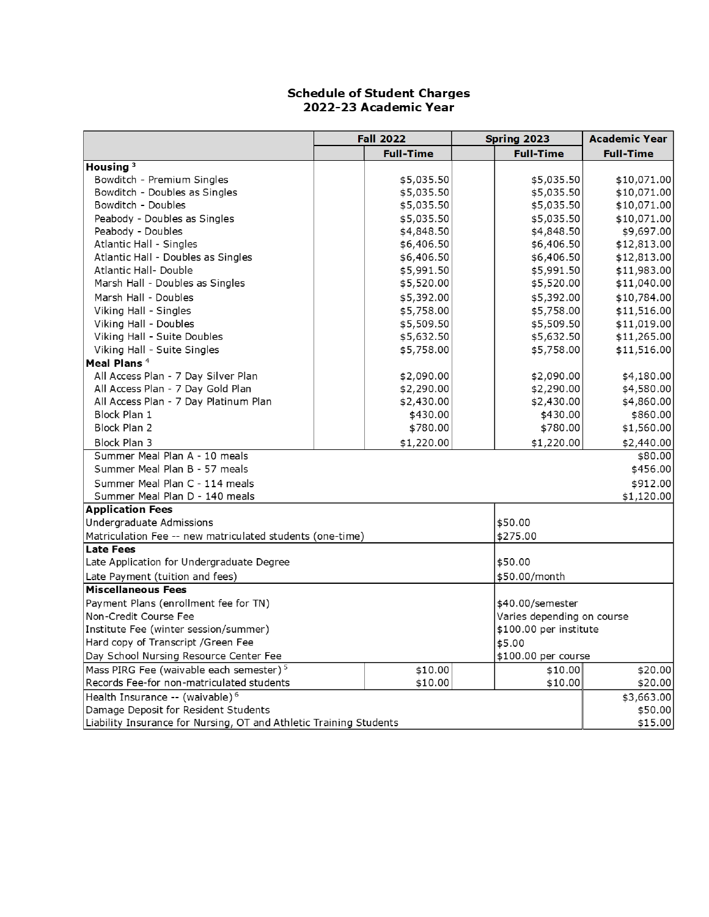|                                                                    | <b>Fall 2022</b> | Spring 2023                | <b>Academic Year</b> |
|--------------------------------------------------------------------|------------------|----------------------------|----------------------|
|                                                                    | <b>Full-Time</b> | <b>Full-Time</b>           | <b>Full-Time</b>     |
| Housing <sup>3</sup>                                               |                  |                            |                      |
| Bowditch - Premium Singles                                         | \$5,035.50       | \$5,035.50                 | \$10,071.00          |
| Bowditch - Doubles as Singles                                      | \$5,035.50       | \$5,035.50                 | \$10,071.00          |
| Bowditch - Doubles                                                 | \$5,035.50       | \$5,035.50                 | \$10,071.00          |
| Peabody - Doubles as Singles                                       | \$5,035.50       | \$5,035.50                 | \$10,071.00          |
| Peabody - Doubles                                                  | \$4,848.50       | \$4,848.50                 | \$9,697.00           |
| Atlantic Hall - Singles                                            | \$6,406.50       | \$6,406.50                 | \$12,813.00          |
| Atlantic Hall - Doubles as Singles                                 | \$6,406.50       | \$6,406.50                 | \$12,813.00          |
| Atlantic Hall- Double                                              | \$5,991.50       | \$5,991.50                 | \$11,983.00          |
| Marsh Hall - Doubles as Singles                                    | \$5,520.00       | \$5,520.00                 | \$11,040.00          |
| Marsh Hall - Doubles                                               | \$5,392.00       | \$5,392.00                 | \$10,784.00          |
| Viking Hall - Singles                                              | \$5,758.00       | \$5,758.00                 | \$11,516.00          |
| Viking Hall - Doubles                                              | \$5,509.50       | \$5,509.50                 | \$11,019.00          |
| Viking Hall - Suite Doubles                                        | \$5,632.50       | \$5,632.50                 | \$11,265.00          |
| Viking Hall - Suite Singles                                        | \$5,758.00       | \$5,758.00                 | \$11,516.00          |
| Meal Plans <sup>4</sup>                                            |                  |                            |                      |
| All Access Plan - 7 Day Silver Plan                                | \$2,090.00       | \$2,090.00                 | \$4,180.00           |
| All Access Plan - 7 Day Gold Plan                                  | \$2,290.00       | \$2,290.00                 | \$4,580.00           |
| All Access Plan - 7 Day Platinum Plan                              | \$2,430.00       | \$2,430.00                 | \$4,860.00           |
| Block Plan 1                                                       | \$430.00         | \$430.00                   | \$860.00             |
| Block Plan 2                                                       | \$780.00         | \$780.00                   | \$1,560.00           |
| Block Plan 3                                                       | \$1,220.00       | \$1,220.00                 | \$2,440.00           |
| Summer Meal Plan A - 10 meals                                      |                  |                            | \$80.00              |
| Summer Meal Plan B - 57 meals                                      |                  |                            | \$456.00             |
| Summer Meal Plan C - 114 meals                                     |                  |                            | \$912.00             |
| Summer Meal Plan D - 140 meals                                     |                  |                            | \$1,120.00           |
| <b>Application Fees</b>                                            |                  |                            |                      |
| Undergraduate Admissions                                           |                  | \$50.00                    |                      |
| Matriculation Fee -- new matriculated students (one-time)          |                  | \$275.00                   |                      |
| <b>Late Fees</b>                                                   |                  |                            |                      |
| Late Application for Undergraduate Degree                          |                  | \$50.00                    |                      |
| Late Payment (tuition and fees)                                    |                  | \$50.00/month              |                      |
| <b>Miscellaneous Fees</b>                                          |                  |                            |                      |
| Payment Plans (enrollment fee for TN)                              |                  | \$40.00/semester           |                      |
| Non-Credit Course Fee                                              |                  | Varies depending on course |                      |
| Institute Fee (winter session/summer)                              |                  | \$100.00 per institute     |                      |
| Hard copy of Transcript / Green Fee                                |                  | \$5.00                     |                      |
| Day School Nursing Resource Center Fee                             |                  | \$100.00 per course        |                      |
| Mass PIRG Fee (waivable each semester) <sup>5</sup>                | \$10.00          | \$10.00                    | \$20.00              |
| Records Fee-for non-matriculated students                          | \$10.00          | \$10.00                    | \$20.00              |
| Health Insurance -- (waivable) <sup>6</sup>                        |                  |                            | \$3,663.00           |
| Damage Deposit for Resident Students                               |                  |                            | \$50.00              |
| Liability Insurance for Nursing, OT and Athletic Training Students |                  |                            | \$15.00              |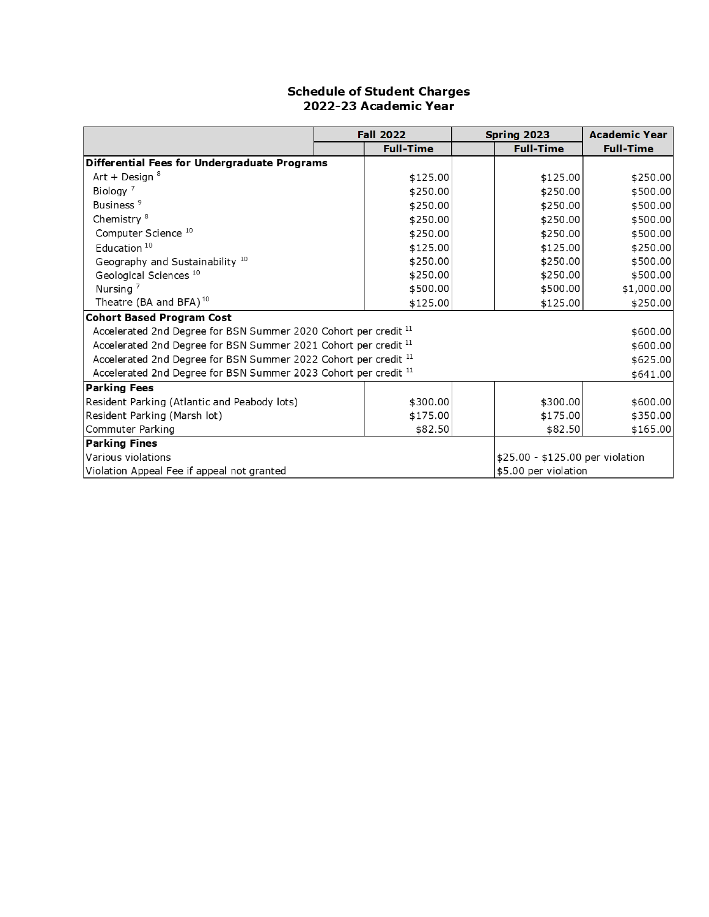|                                                                            | <b>Fall 2022</b> | Spring 2023                      | <b>Academic Year</b> |
|----------------------------------------------------------------------------|------------------|----------------------------------|----------------------|
|                                                                            | <b>Full-Time</b> | <b>Full-Time</b>                 | <b>Full-Time</b>     |
| Differential Fees for Undergraduate Programs                               |                  |                                  |                      |
| Art + Design $8$                                                           | \$125.00         | \$125.00                         | \$250.00             |
| Biology <sup>7</sup>                                                       | \$250.00         | \$250.00                         | \$500.00             |
| Business <sup>9</sup>                                                      | \$250.00         | \$250.00                         | \$500.00             |
| Chemistry <sup>8</sup>                                                     | \$250.00         | \$250.00                         | \$500.00             |
| Computer Science <sup>10</sup>                                             | \$250.00         | \$250.00                         | \$500.00             |
| Education <sup>10</sup>                                                    | \$125.00         | \$125.00                         | \$250.00             |
| Geography and Sustainability 10                                            | \$250.00         | \$250.00                         | \$500.00             |
| Geological Sciences <sup>10</sup>                                          | \$250.00         | \$250.00                         | \$500.00             |
| Nursing <sup>7</sup>                                                       | \$500.00         | \$500.00]                        | \$1,000.00           |
| Theatre (BA and BFA) <sup>10</sup>                                         | \$125.00         | \$125.00                         | \$250.00             |
| <b>Cohort Based Program Cost</b>                                           |                  |                                  |                      |
| Accelerated 2nd Degree for BSN Summer 2020 Cohort per credit <sup>11</sup> |                  |                                  | \$600.00             |
| Accelerated 2nd Degree for BSN Summer 2021 Cohort per credit <sup>11</sup> |                  |                                  | \$600.00             |
| Accelerated 2nd Degree for BSN Summer 2022 Cohort per credit 11            |                  |                                  | \$625.00             |
| Accelerated 2nd Degree for BSN Summer 2023 Cohort per credit 11            |                  |                                  | \$641.00             |
| <b>Parking Fees</b>                                                        |                  |                                  |                      |
| Resident Parking (Atlantic and Peabody lots)                               | \$300.00         | \$300.00                         | \$600.00             |
| Resident Parking (Marsh lot)                                               | \$175.00         | \$175.00                         | \$350.00             |
| Commuter Parking                                                           | \$82.50          | \$82.50                          | \$165.00             |
| <b>Parking Fines</b>                                                       |                  |                                  |                      |
| Various violations                                                         |                  | \$25.00 - \$125.00 per violation |                      |
| Violation Appeal Fee if appeal not granted                                 |                  | \$5.00 per violation             |                      |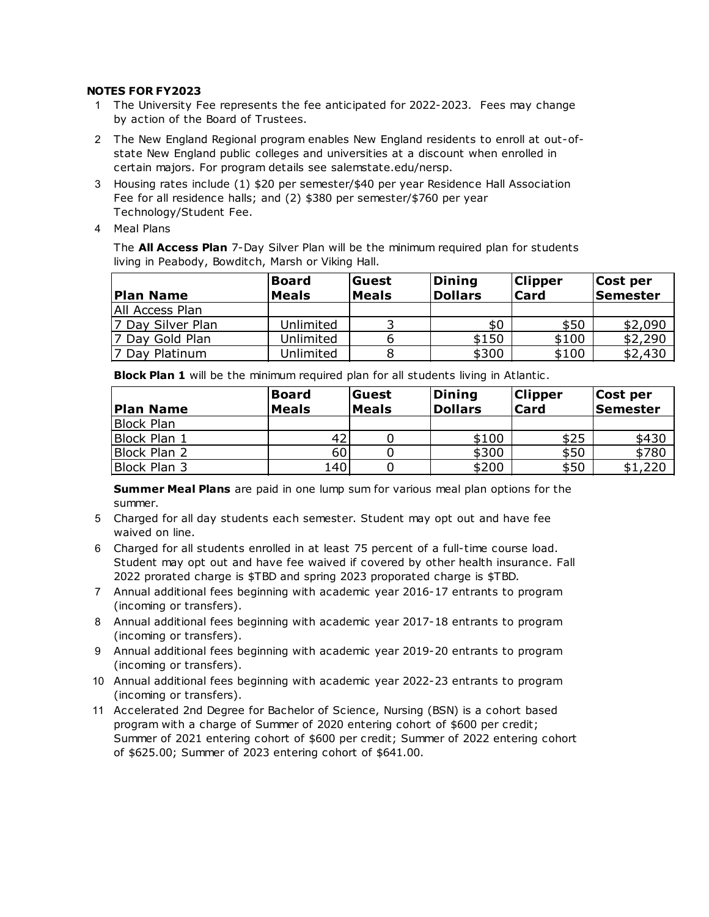#### **NOTES FOR FY2023**

- 1 The University Fee represents the fee anticipated for 2022-2023. Fees may change by action of the Board of Trustees.
- 2 The New England Regional program enables New England residents to enroll at out-ofstate New England public colleges and universities at a discount when enrolled in certain majors. For program details see salemstate.edu/nersp.
- 3 Housing rates include (1) \$20 per semester/\$40 per year Residence Hall Association Fee for all residence halls; and (2) \$380 per semester/\$760 per year Technology/Student Fee.
- 4 Meal Plans

The **All Access Plan** 7-Day Silver Plan will be the minimum required plan for students living in Peabody, Bowditch, Marsh or Viking Hall.

| <b>Plan Name</b>  | <b>Board</b><br><b>Meals</b> | Guest<br><b>Meals</b> | Dining<br><b>Dollars</b> | <b>Clipper</b><br><b>Card</b> | Cost per<br><b>Semester</b> |
|-------------------|------------------------------|-----------------------|--------------------------|-------------------------------|-----------------------------|
| IAII Access Plan  |                              |                       |                          |                               |                             |
| 7 Day Silver Plan | Unlimited                    |                       | \$0                      | \$50                          | \$2,090                     |
| 7 Day Gold Plan   | Unlimited                    |                       | \$150                    | \$100                         | \$2,290                     |
| 7 Day Platinum    | Unlimited                    |                       | \$300                    | \$100                         | \$2,430                     |

**Block Plan 1** will be the minimum required plan for all students living in Atlantic.

| <b>Plan Name</b>  | <b>Board</b><br><b>Meals</b> | Guest<br><b>Meals</b> | Dining<br><b>Dollars</b> | <b>Clipper</b><br><b>Card</b> | Cost per<br><b>Semester</b> |
|-------------------|------------------------------|-----------------------|--------------------------|-------------------------------|-----------------------------|
| <b>Block Plan</b> |                              |                       |                          |                               |                             |
| Block Plan 1      | 42                           |                       | \$100                    | \$25                          | \$430                       |
| Block Plan 2      | 60                           |                       | \$300                    | \$50                          | \$780                       |
| Block Plan 3      | 140                          |                       | \$200                    | \$50                          | \$1,220                     |

**Summer Meal Plans** are paid in one lump sum for various meal plan options for the summer.

- 5 Charged for all day students each semester. Student may opt out and have fee waived on line.
- 6 Charged for all students enrolled in at least 75 percent of a full-time course load. Student may opt out and have fee waived if covered by other health insurance. Fall 2022 prorated charge is \$TBD and spring 2023 proporated charge is \$TBD.
- 7 Annual additional fees beginning with academic year 2016-17 entrants to program (incoming or transfers).
- 8 Annual additional fees beginning with academic year 2017-18 entrants to program (incoming or transfers).
- 9 Annual additional fees beginning with academic year 2019-20 entrants to program (incoming or transfers).
- 10 Annual additional fees beginning with academic year 2022-23 entrants to program (incoming or transfers).
- 11 Accelerated 2nd Degree for Bachelor of Science, Nursing (BSN) is a cohort based program with a charge of Summer of 2020 entering cohort of \$600 per credit; Summer of 2021 entering cohort of \$600 per credit; Summer of 2022 entering cohort of \$625.00; Summer of 2023 entering cohort of \$641.00.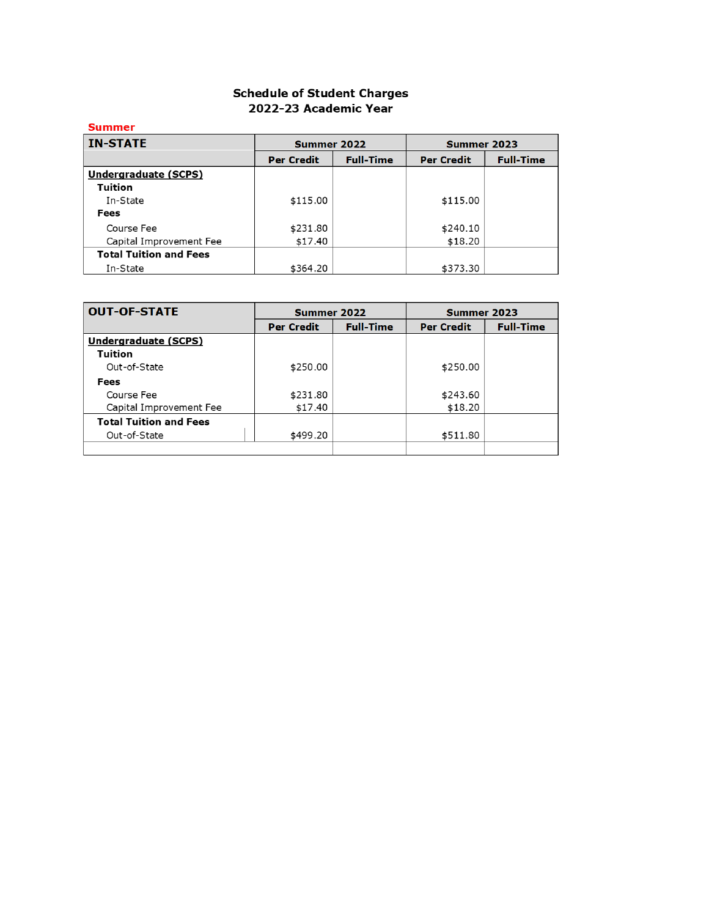| Summer                        |                   |                  |                   |                  |
|-------------------------------|-------------------|------------------|-------------------|------------------|
| <b>IN-STATE</b>               | Summer 2022       |                  | Summer 2023       |                  |
|                               | <b>Per Credit</b> | <b>Full-Time</b> | <b>Per Credit</b> | <b>Full-Time</b> |
| Undergraduate (SCPS)          |                   |                  |                   |                  |
| <b>Tuition</b>                |                   |                  |                   |                  |
| In-State                      | \$115.00          |                  | \$115.00          |                  |
| Fees                          |                   |                  |                   |                  |
| Course Fee                    | \$231.80          |                  | \$240.10          |                  |
| Capital Improvement Fee       | \$17.40           |                  | \$18.20           |                  |
| <b>Total Tuition and Fees</b> |                   |                  |                   |                  |
| In-State                      | \$364.20          |                  | \$373.30          |                  |

| <b>OUT-OF-STATE</b>           | Summer 2022       |                  | Summer 2023       |                  |  |
|-------------------------------|-------------------|------------------|-------------------|------------------|--|
|                               | <b>Per Credit</b> | <b>Full-Time</b> | <b>Per Credit</b> | <b>Full-Time</b> |  |
| Undergraduate (SCPS)          |                   |                  |                   |                  |  |
| Tuition                       |                   |                  |                   |                  |  |
| Out-of-State                  | \$250.00          |                  | \$250.00          |                  |  |
| Fees                          |                   |                  |                   |                  |  |
| Course Fee                    | \$231.80          |                  | \$243.60          |                  |  |
| Capital Improvement Fee       | \$17.40           |                  | \$18.20           |                  |  |
| <b>Total Tuition and Fees</b> |                   |                  |                   |                  |  |
| Out-of-State                  | \$499.20          |                  | \$511.80          |                  |  |
|                               |                   |                  |                   |                  |  |